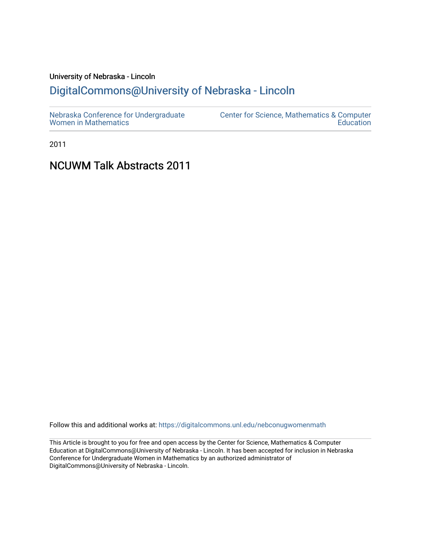# University of Nebraska - Lincoln [DigitalCommons@University of Nebraska - Lincoln](https://digitalcommons.unl.edu/)

2011

# NCUWM Talk Abstracts 2011

Follow this and additional works at: [https://digitalcommons.unl.edu/nebconugwomenmath](https://digitalcommons.unl.edu/nebconugwomenmath?utm_source=digitalcommons.unl.edu%2Fnebconugwomenmath%2F13&utm_medium=PDF&utm_campaign=PDFCoverPages)

This Article is brought to you for free and open access by the Center for Science, Mathematics & Computer Education at DigitalCommons@University of Nebraska - Lincoln. It has been accepted for inclusion in Nebraska Conference for Undergraduate Women in Mathematics by an authorized administrator of DigitalCommons@University of Nebraska - Lincoln.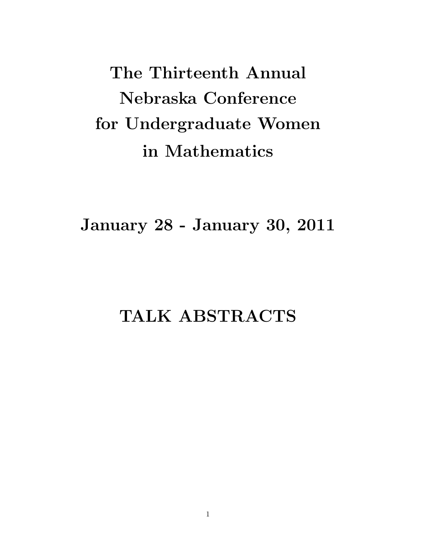The Thirteenth Annual Nebraska Conference for Undergraduate Women in Mathematics

January 28 - January 30, 2011

# TALK ABSTRACTS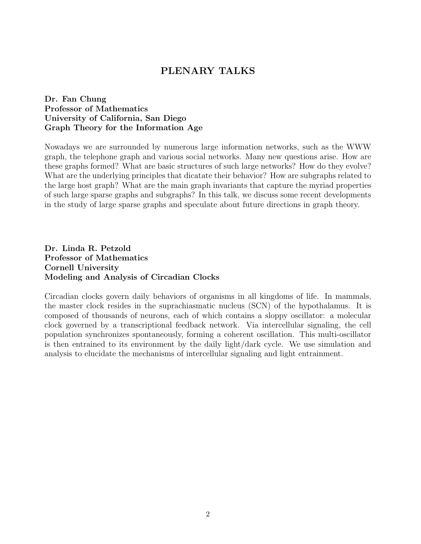## PLENARY TALKS

### Dr. Fan Chung Professor of Mathematics University of California, San Diego Graph Theory for the Information Age

Nowadays we are surrounded by numerous large information networks, such as the WWW graph, the telephone graph and various social networks. Many new questions arise. How are these graphs formed? What are basic structures of such large networks? How do they evolve? What are the underlying principles that dicatate their behavior? How are subgraphs related to the large host graph? What are the main graph invariants that capture the myriad properties of such large sparse graphs and subgraphs? In this talk, we discuss some recent developments in the study of large sparse graphs and speculate about future directions in graph theory.

Dr. Linda R. Petzold Professor of Mathematics Cornell University Modeling and Analysis of Circadian Clocks

Circadian clocks govern daily behaviors of organisms in all kingdoms of life. In mammals, the master clock resides in the suprachiasmatic nucleus (SCN) of the hypothalamus. It is composed of thousands of neurons, each of which contains a sloppy oscillator: a molecular clock governed by a transcriptional feedback network. Via intercellular signaling, the cell population synchronizes spontaneously, forming a coherent oscillation. This multi-oscillator is then entrained to its environment by the daily light/dark cycle. We use simulation and analysis to elucidate the mechanisms of intercellular signaling and light entrainment.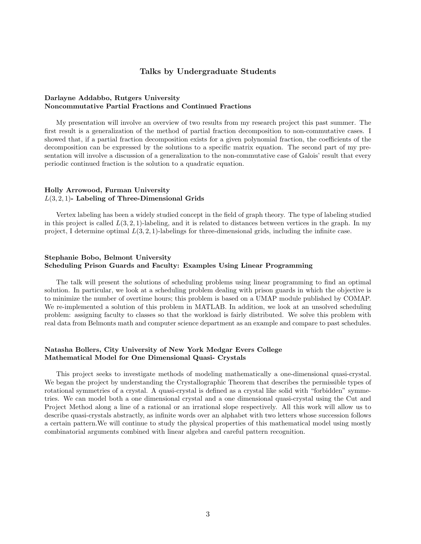#### Talks by Undergraduate Students

#### Darlayne Addabbo, Rutgers University Noncommutative Partial Fractions and Continued Fractions

My presentation will involve an overview of two results from my research project this past summer. The first result is a generalization of the method of partial fraction decomposition to non-commutative cases. I showed that, if a partial fraction decomposition exists for a given polynomial fraction, the coefficients of the decomposition can be expressed by the solutions to a specific matrix equation. The second part of my presentation will involve a discussion of a generalization to the non-commutative case of Galois' result that every periodic continued fraction is the solution to a quadratic equation.

#### Holly Arrowood, Furman University  $L(3, 2, 1)$ - Labeling of Three-Dimensional Grids

Vertex labeling has been a widely studied concept in the field of graph theory. The type of labeling studied in this project is called  $L(3, 2, 1)$ -labeling, and it is related to distances between vertices in the graph. In my project, I determine optimal  $L(3, 2, 1)$ -labelings for three-dimensional grids, including the infinite case.

#### Stephanie Bobo, Belmont University Scheduling Prison Guards and Faculty: Examples Using Linear Programming

The talk will present the solutions of scheduling problems using linear programming to find an optimal solution. In particular, we look at a scheduling problem dealing with prison guards in which the objective is to minimize the number of overtime hours; this problem is based on a UMAP module published by COMAP. We re-implemented a solution of this problem in MATLAB. In addition, we look at an unsolved scheduling problem: assigning faculty to classes so that the workload is fairly distributed. We solve this problem with real data from Belmonts math and computer science department as an example and compare to past schedules.

#### Natasha Bollers, City University of New York Medgar Evers College Mathematical Model for One Dimensional Quasi- Crystals

This project seeks to investigate methods of modeling mathematically a one-dimensional quasi-crystal. We began the project by understanding the Crystallographic Theorem that describes the permissible types of rotational symmetries of a crystal. A quasi-crystal is defined as a crystal like solid with "forbidden" symmetries. We can model both a one dimensional crystal and a one dimensional quasi-crystal using the Cut and Project Method along a line of a rational or an irrational slope respectively. All this work will allow us to describe quasi-crystals abstractly, as infinite words over an alphabet with two letters whose succession follows a certain pattern.We will continue to study the physical properties of this mathematical model using mostly combinatorial arguments combined with linear algebra and careful pattern recognition.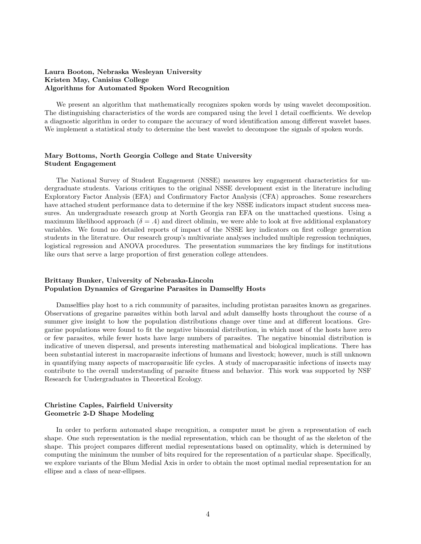#### Laura Booton, Nebraska Wesleyan University Kristen May, Canisius College Algorithms for Automated Spoken Word Recognition

We present an algorithm that mathematically recognizes spoken words by using wavelet decomposition. The distinguishing characteristics of the words are compared using the level 1 detail coefficients. We develop a diagnostic algorithm in order to compare the accuracy of word identification among different wavelet bases. We implement a statistical study to determine the best wavelet to decompose the signals of spoken words.

#### Mary Bottoms, North Georgia College and State University Student Engagement

The National Survey of Student Engagement (NSSE) measures key engagement characteristics for undergraduate students. Various critiques to the original NSSE development exist in the literature including Exploratory Factor Analysis (EFA) and Confirmatory Factor Analysis (CFA) approaches. Some researchers have attached student performance data to determine if the key NSSE indicators impact student success measures. An undergraduate research group at North Georgia ran EFA on the unattached questions. Using a maximum likelihood approach  $(\delta = .4)$  and direct oblimin, we were able to look at five additional explanatory variables. We found no detailed reports of impact of the NSSE key indicators on first college generation students in the literature. Our research group's multivariate analyses included multiple regression techniques, logistical regression and ANOVA procedures. The presentation summarizes the key findings for institutions like ours that serve a large proportion of first generation college attendees.

#### Brittany Bunker, University of Nebraska-Lincoln Population Dynamics of Gregarine Parasites in Damselfly Hosts

Damselflies play host to a rich community of parasites, including protistan parasites known as gregarines. Observations of gregarine parasites within both larval and adult damselfly hosts throughout the course of a summer give insight to how the population distributions change over time and at different locations. Gregarine populations were found to fit the negative binomial distribution, in which most of the hosts have zero or few parasites, while fewer hosts have large numbers of parasites. The negative binomial distribution is indicative of uneven dispersal, and presents interesting mathematical and biological implications. There has been substantial interest in macroparasite infections of humans and livestock; however, much is still unknown in quantifying many aspects of macroparasitic life cycles. A study of macroparasitic infections of insects may contribute to the overall understanding of parasite fitness and behavior. This work was supported by NSF Research for Undergraduates in Theoretical Ecology.

#### Christine Caples, Fairfield University Geometric 2-D Shape Modeling

In order to perform automated shape recognition, a computer must be given a representation of each shape. One such representation is the medial representation, which can be thought of as the skeleton of the shape. This project compares different medial representations based on optimality, which is determined by computing the minimum the number of bits required for the representation of a particular shape. Specifically, we explore variants of the Blum Medial Axis in order to obtain the most optimal medial representation for an ellipse and a class of near-ellipses.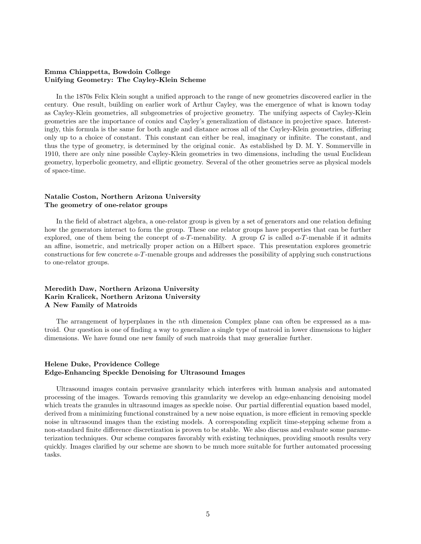#### Emma Chiappetta, Bowdoin College Unifying Geometry: The Cayley-Klein Scheme

In the 1870s Felix Klein sought a unified approach to the range of new geometries discovered earlier in the century. One result, building on earlier work of Arthur Cayley, was the emergence of what is known today as Cayley-Klein geometries, all subgeometries of projective geometry. The unifying aspects of Cayley-Klein geometries are the importance of conics and Cayley's generalization of distance in projective space. Interestingly, this formula is the same for both angle and distance across all of the Cayley-Klein geometries, differing only up to a choice of constant. This constant can either be real, imaginary or infinite. The constant, and thus the type of geometry, is determined by the original conic. As established by D. M. Y. Sommerville in 1910, there are only nine possible Cayley-Klein geometries in two dimensions, including the usual Euclidean geometry, hyperbolic geometry, and elliptic geometry. Several of the other geometries serve as physical models of space-time.

#### Natalie Coston, Northern Arizona University The geometry of one-relator groups

In the field of abstract algebra, a one-relator group is given by a set of generators and one relation defining how the generators interact to form the group. These one relator groups have properties that can be further explored, one of them being the concept of  $a-T$ -menability. A group G is called  $a-T$ -menable if it admits an affine, isometric, and metrically proper action on a Hilbert space. This presentation explores geometric constructions for few concrete a-T-menable groups and addresses the possibility of applying such constructions to one-relator groups.

#### Meredith Daw, Northern Arizona University Karin Kralicek, Northern Arizona University A New Family of Matroids

The arrangement of hyperplanes in the nth dimension Complex plane can often be expressed as a matroid. Our question is one of finding a way to generalize a single type of matroid in lower dimensions to higher dimensions. We have found one new family of such matroids that may generalize further.

#### Helene Duke, Providence College Edge-Enhancing Speckle Denoising for Ultrasound Images

Ultrasound images contain pervasive granularity which interferes with human analysis and automated processing of the images. Towards removing this granularity we develop an edge-enhancing denoising model which treats the granules in ultrasound images as speckle noise. Our partial differential equation based model, derived from a minimizing functional constrained by a new noise equation, is more efficient in removing speckle noise in ultrasound images than the existing models. A corresponding explicit time-stepping scheme from a non-standard finite difference discretization is proven to be stable. We also discuss and evaluate some parameterization techniques. Our scheme compares favorably with existing techniques, providing smooth results very quickly. Images clarified by our scheme are shown to be much more suitable for further automated processing tasks.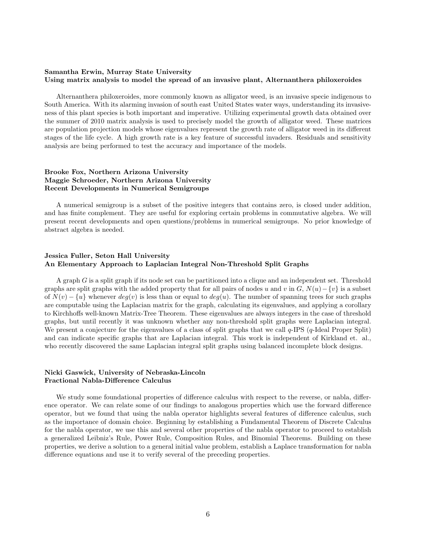#### Samantha Erwin, Murray State University Using matrix analysis to model the spread of an invasive plant, Alternanthera philoxeroides

Alternanthera philoxeroides, more commonly known as alligator weed, is an invasive specie indigenous to South America. With its alarming invasion of south east United States water ways, understanding its invasiveness of this plant species is both important and imperative. Utilizing experimental growth data obtained over the summer of 2010 matrix analysis is used to precisely model the growth of alligator weed. These matrices are population projection models whose eigenvalues represent the growth rate of alligator weed in its different stages of the life cycle. A high growth rate is a key feature of successful invaders. Residuals and sensitivity analysis are being performed to test the accuracy and importance of the models.

#### Brooke Fox, Northern Arizona University Maggie Schroeder, Northern Arizona University Recent Developments in Numerical Semigroups

A numerical semigroup is a subset of the positive integers that contains zero, is closed under addition, and has finite complement. They are useful for exploring certain problems in commutative algebra. We will present recent developments and open questions/problems in numerical semigroups. No prior knowledge of abstract algebra is needed.

#### Jessica Fuller, Seton Hall University An Elementary Approach to Laplacian Integral Non-Threshold Split Graphs

A graph G is a split graph if its node set can be partitioned into a clique and an independent set. Threshold graphs are split graphs with the added property that for all pairs of nodes u and v in  $G$ ,  $N(u) - \{v\}$  is a subset of  $N(v) - \{u\}$  whenever  $deg(v)$  is less than or equal to  $deg(u)$ . The number of spanning trees for such graphs are computable using the Laplacian matrix for the graph, calculating its eigenvalues, and applying a corollary to Kirchhoffs well-known Matrix-Tree Theorem. These eigenvalues are always integers in the case of threshold graphs, but until recently it was unknown whether any non-threshold split graphs were Laplacian integral. We present a conjecture for the eigenvalues of a class of split graphs that we call  $q$ -IPS (q-Ideal Proper Split) and can indicate specific graphs that are Laplacian integral. This work is independent of Kirkland et. al., who recently discovered the same Laplacian integral split graphs using balanced incomplete block designs.

#### Nicki Gaswick, University of Nebraska-Lincoln Fractional Nabla-Difference Calculus

We study some foundational properties of difference calculus with respect to the reverse, or nabla, difference operator. We can relate some of our findings to analogous properties which use the forward difference operator, but we found that using the nabla operator highlights several features of difference calculus, such as the importance of domain choice. Beginning by establishing a Fundamental Theorem of Discrete Calculus for the nabla operator, we use this and several other properties of the nabla operator to proceed to establish a generalized Leibniz's Rule, Power Rule, Composition Rules, and Binomial Theorems. Building on these properties, we derive a solution to a general initial value problem, establish a Laplace transformation for nabla difference equations and use it to verify several of the preceding properties.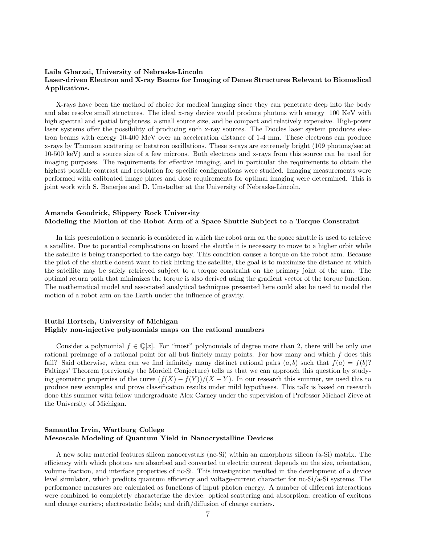#### Laila Gharzai, University of Nebraska-Lincoln Laser-driven Electron and X-ray Beams for Imaging of Dense Structures Relevant to Biomedical Applications.

X-rays have been the method of choice for medical imaging since they can penetrate deep into the body and also resolve small structures. The ideal x-ray device would produce photons with energy 100 KeV with high spectral and spatial brightness, a small source size, and be compact and relatively expensive. High-power laser systems offer the possibility of producing such x-ray sources. The Diocles laser system produces electron beams with energy 10-400 MeV over an acceleration distance of 1-4 mm. These electrons can produce x-rays by Thomson scattering or betatron oscillations. These x-rays are extremely bright (109 photons/sec at 10-500 keV) and a source size of a few microns. Both electrons and x-rays from this source can be used for imaging purposes. The requirements for effective imaging, and in particular the requirements to obtain the highest possible contrast and resolution for specific configurations were studied. Imaging measurements were performed with calibrated image plates and dose requirements for optimal imaging were determined. This is joint work with S. Banerjee and D. Umstadter at the University of Nebraska-Lincoln.

#### Amanda Goodrick, Slippery Rock University Modeling the Motion of the Robot Arm of a Space Shuttle Subject to a Torque Constraint

In this presentation a scenario is considered in which the robot arm on the space shuttle is used to retrieve a satellite. Due to potential complications on board the shuttle it is necessary to move to a higher orbit while the satellite is being transported to the cargo bay. This condition causes a torque on the robot arm. Because the pilot of the shuttle doesnt want to risk hitting the satellite, the goal is to maximize the distance at which the satellite may be safely retrieved subject to a torque constraint on the primary joint of the arm. The optimal return path that minimizes the torque is also derived using the gradient vector of the torque function. The mathematical model and associated analytical techniques presented here could also be used to model the motion of a robot arm on the Earth under the influence of gravity.

#### Ruthi Hortsch, University of Michigan Highly non-injective polynomials maps on the rational numbers

Consider a polynomial  $f \in \mathbb{O}[x]$ . For "most" polynomials of degree more than 2, there will be only one rational preimage of a rational point for all but finitely many points. For how many and which  $f$  does this fail? Said otherwise, when can we find infinitely many distinct rational pairs  $(a, b)$  such that  $f(a) = f(b)$ ? Faltings' Theorem (previously the Mordell Conjecture) tells us that we can approach this question by studying geometric properties of the curve  $(f(X) - f(Y))/(X - Y)$ . In our research this summer, we used this to produce new examples and prove classification results under mild hypotheses. This talk is based on research done this summer with fellow undergraduate Alex Carney under the supervision of Professor Michael Zieve at the University of Michigan.

#### Samantha Irvin, Wartburg College Mesoscale Modeling of Quantum Yield in Nanocrystalline Devices

A new solar material features silicon nanocrystals (nc-Si) within an amorphous silicon (a-Si) matrix. The efficiency with which photons are absorbed and converted to electric current depends on the size, orientation, volume fraction, and interface properties of nc-Si. This investigation resulted in the development of a device level simulator, which predicts quantum efficiency and voltage-current character for nc-Si/a-Si systems. The performance measures are calculated as functions of input photon energy. A number of different interactions were combined to completely characterize the device: optical scattering and absorption; creation of excitons and charge carriers; electrostatic fields; and drift/diffusion of charge carriers.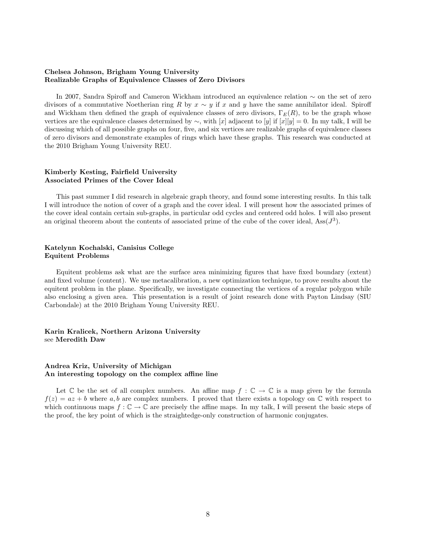#### Chelsea Johnson, Brigham Young University Realizable Graphs of Equivalence Classes of Zero Divisors

In 2007, Sandra Spiroff and Cameron Wickham introduced an equivalence relation ∼ on the set of zero divisors of a commutative Noetherian ring R by  $x \sim y$  if x and y have the same annihilator ideal. Spiroff and Wickham then defined the graph of equivalence classes of zero divisors,  $\Gamma_E(R)$ , to be the graph whose vertices are the equivalence classes determined by  $\sim$ , with [x] adjacent to [y] if [x][y] = 0. In my talk, I will be discussing which of all possible graphs on four, five, and six vertices are realizable graphs of equivalence classes of zero divisors and demonstrate examples of rings which have these graphs. This research was conducted at the 2010 Brigham Young University REU.

#### Kimberly Kesting, Fairfield University Associated Primes of the Cover Ideal

This past summer I did research in algebraic graph theory, and found some interesting results. In this talk I will introduce the notion of cover of a graph and the cover ideal. I will present how the associated primes of the cover ideal contain certain sub-graphs, in particular odd cycles and centered odd holes. I will also present an original theorem about the contents of associated prime of the cube of the cover ideal, Ass $(J^3)$ .

#### Katelynn Kochalski, Canisius College Equitent Problems

Equitent problems ask what are the surface area minimizing figures that have fixed boundary (extent) and fixed volume (content). We use metacalibration, a new optimization technique, to prove results about the equitent problem in the plane. Specifically, we investigate connecting the vertices of a regular polygon while also enclosing a given area. This presentation is a result of joint research done with Payton Lindsay (SIU Carbondale) at the 2010 Brigham Young University REU.

Karin Kralicek, Northern Arizona University see Meredith Daw

#### Andrea Kriz, University of Michigan An interesting topology on the complex affine line

Let  $\mathbb C$  be the set of all complex numbers. An affine map  $f : \mathbb C \to \mathbb C$  is a map given by the formula  $f(z) = az + b$  where a, b are complex numbers. I proved that there exists a topology on  $\mathbb C$  with respect to which continuous maps  $f : \mathbb{C} \to \mathbb{C}$  are precisely the affine maps. In my talk, I will present the basic steps of the proof, the key point of which is the straightedge-only construction of harmonic conjugates.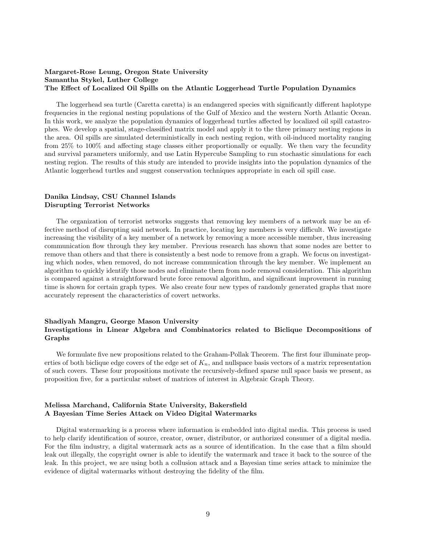#### Margaret-Rose Leung, Oregon State University Samantha Stykel, Luther College The Effect of Localized Oil Spills on the Atlantic Loggerhead Turtle Population Dynamics

The loggerhead sea turtle (Caretta caretta) is an endangered species with significantly different haplotype frequencies in the regional nesting populations of the Gulf of Mexico and the western North Atlantic Ocean. In this work, we analyze the population dynamics of loggerhead turtles affected by localized oil spill catastrophes. We develop a spatial, stage-classified matrix model and apply it to the three primary nesting regions in the area. Oil spills are simulated deterministically in each nesting region, with oil-induced mortality ranging from 25% to 100% and affecting stage classes either proportionally or equally. We then vary the fecundity and survival parameters uniformly, and use Latin Hypercube Sampling to run stochastic simulations for each nesting region. The results of this study are intended to provide insights into the population dynamics of the Atlantic loggerhead turtles and suggest conservation techniques appropriate in each oil spill case.

#### Danika Lindsay, CSU Channel Islands Disrupting Terrorist Networks

The organization of terrorist networks suggests that removing key members of a network may be an effective method of disrupting said network. In practice, locating key members is very difficult. We investigate increasing the visibility of a key member of a network by removing a more accessible member, thus increasing communication flow through they key member. Previous research has shown that some nodes are better to remove than others and that there is consistently a best node to remove from a graph. We focus on investigating which nodes, when removed, do not increase communication through the key member. We implement an algorithm to quickly identify those nodes and eliminate them from node removal consideration. This algorithm is compared against a straightforward brute force removal algorithm, and significant improvement in running time is shown for certain graph types. We also create four new types of randomly generated graphs that more accurately represent the characteristics of covert networks.

#### Shadiyah Mangru, George Mason University Investigations in Linear Algebra and Combinatorics related to Biclique Decompositions of Graphs

We formulate five new propositions related to the Graham-Pollak Theorem. The first four illuminate properties of both biclique edge covers of the edge set of  $K_n$ , and nullspace basis vectors of a matrix representation of such covers. These four propositions motivate the recursively-defined sparse null space basis we present, as proposition five, for a particular subset of matrices of interest in Algebraic Graph Theory.

#### Melissa Marchand, California State University, Bakersfield A Bayesian Time Series Attack on Video Digital Watermarks

Digital watermarking is a process where information is embedded into digital media. This process is used to help clarify identification of source, creator, owner, distributor, or authorized consumer of a digital media. For the film industry, a digital watermark acts as a source of identification. In the case that a film should leak out illegally, the copyright owner is able to identify the watermark and trace it back to the source of the leak. In this project, we are using both a collusion attack and a Bayesian time series attack to minimize the evidence of digital watermarks without destroying the fidelity of the film.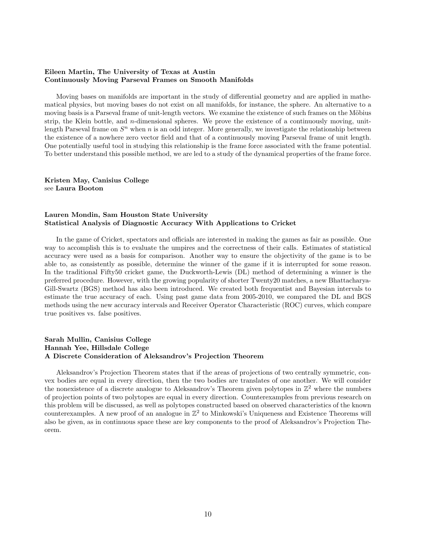#### Eileen Martin, The University of Texas at Austin Continuously Moving Parseval Frames on Smooth Manifolds

Moving bases on manifolds are important in the study of differential geometry and are applied in mathematical physics, but moving bases do not exist on all manifolds, for instance, the sphere. An alternative to a moving basis is a Parseval frame of unit-length vectors. We examine the existence of such frames on the Möbius strip, the Klein bottle, and  $n$ -dimensional spheres. We prove the existence of a continuously moving, unitlength Parseval frame on  $S<sup>n</sup>$  when n is an odd integer. More generally, we investigate the relationship between the existence of a nowhere zero vector field and that of a continuously moving Parseval frame of unit length. One potentially useful tool in studying this relationship is the frame force associated with the frame potential. To better understand this possible method, we are led to a study of the dynamical properties of the frame force.

Kristen May, Canisius College see Laura Booton

#### Lauren Mondin, Sam Houston State University Statistical Analysis of Diagnostic Accuracy With Applications to Cricket

In the game of Cricket, spectators and officials are interested in making the games as fair as possible. One way to accomplish this is to evaluate the umpires and the correctness of their calls. Estimates of statistical accuracy were used as a basis for comparison. Another way to ensure the objectivity of the game is to be able to, as consistently as possible, determine the winner of the game if it is interrupted for some reason. In the traditional Fifty50 cricket game, the Duckworth-Lewis (DL) method of determining a winner is the preferred procedure. However, with the growing popularity of shorter Twenty20 matches, a new Bhattacharya-Gill-Swartz (BGS) method has also been introduced. We created both frequentist and Bayesian intervals to estimate the true accuracy of each. Using past game data from 2005-2010, we compared the DL and BGS methods using the new accuracy intervals and Receiver Operator Characteristic (ROC) curves, which compare true positives vs. false positives.

#### Sarah Mullin, Canisius College Hannah Yee, Hillsdale College A Discrete Consideration of Aleksandrov's Projection Theorem

Aleksandrov's Projection Theorem states that if the areas of projections of two centrally symmetric, convex bodies are equal in every direction, then the two bodies are translates of one another. We will consider the nonexistence of a discrete analogue to Aleksandrov's Theorem given polytopes in  $\mathbb{Z}^2$  where the numbers of projection points of two polytopes are equal in every direction. Counterexamples from previous research on this problem will be discussed, as well as polytopes constructed based on observed characteristics of the known counterexamples. A new proof of an analogue in  $\mathbb{Z}^2$  to Minkowski's Uniqueness and Existence Theorems will also be given, as in continuous space these are key components to the proof of Aleksandrov's Projection Theorem.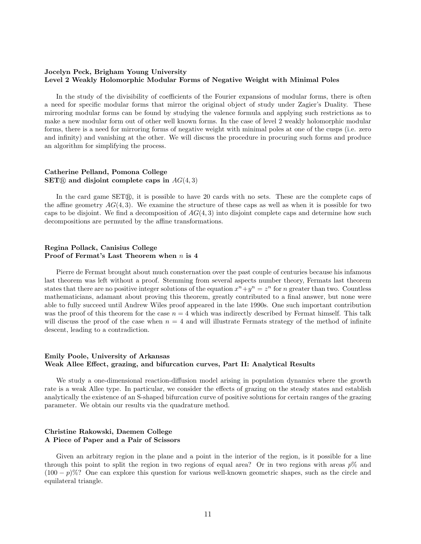#### Jocelyn Peck, Brigham Young University Level 2 Weakly Holomorphic Modular Forms of Negative Weight with Minimal Poles

In the study of the divisibility of coefficients of the Fourier expansions of modular forms, there is often a need for specific modular forms that mirror the original object of study under Zagier's Duality. These mirroring modular forms can be found by studying the valence formula and applying such restrictions as to make a new modular form out of other well known forms. In the case of level 2 weakly holomorphic modular forms, there is a need for mirroring forms of negative weight with minimal poles at one of the cusps (i.e. zero and infinity) and vanishing at the other. We will discuss the procedure in procuring such forms and produce an algorithm for simplifying the process.

#### Catherine Pelland, Pomona College SET $\mathbb R$  and disjoint complete caps in  $AG(4,3)$

In the card game  $SET@$ , it is possible to have 20 cards with no sets. These are the complete caps of the affine geometry  $AG(4,3)$ . We examine the structure of these caps as well as when it is possible for two caps to be disjoint. We find a decomposition of  $AG(4,3)$  into disjoint complete caps and determine how such decompositions are permuted by the affine transformations.

#### Regina Pollack, Canisius College Proof of Fermat's Last Theorem when  $n$  is 4

Pierre de Fermat brought about much consternation over the past couple of centuries because his infamous last theorem was left without a proof. Stemming from several aspects number theory, Fermats last theorem states that there are no positive integer solutions of the equation  $x^n + y^n = z^n$  for n greater than two. Countless mathematicians, adamant about proving this theorem, greatly contributed to a final answer, but none were able to fully succeed until Andrew Wiles proof appeared in the late 1990s. One such important contribution was the proof of this theorem for the case  $n = 4$  which was indirectly described by Fermat himself. This talk will discuss the proof of the case when  $n = 4$  and will illustrate Fermats strategy of the method of infinite descent, leading to a contradiction.

#### Emily Poole, University of Arkansas Weak Allee Effect, grazing, and bifurcation curves, Part II: Analytical Results

We study a one-dimensional reaction-diffusion model arising in population dynamics where the growth rate is a weak Allee type. In particular, we consider the effects of grazing on the steady states and establish analytically the existence of an S-shaped bifurcation curve of positive solutions for certain ranges of the grazing parameter. We obtain our results via the quadrature method.

#### Christine Rakowski, Daemen College A Piece of Paper and a Pair of Scissors

Given an arbitrary region in the plane and a point in the interior of the region, is it possible for a line through this point to split the region in two regions of equal area? Or in two regions with areas  $p\%$  and  $(100 - p)\%$ ? One can explore this question for various well-known geometric shapes, such as the circle and equilateral triangle.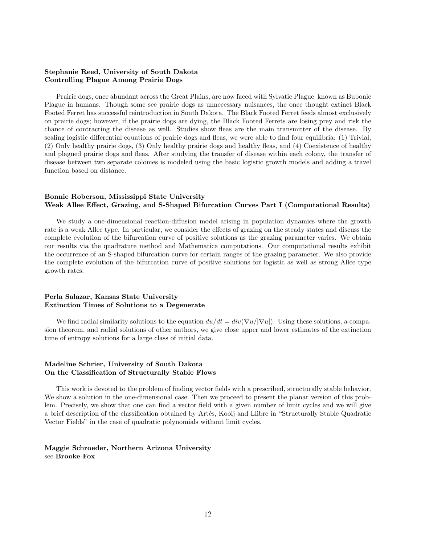#### Stephanie Reed, University of South Dakota Controlling Plague Among Prairie Dogs

Prairie dogs, once abundant across the Great Plains, are now faced with Sylvatic Plague known as Bubonic Plague in humans. Though some see prairie dogs as unnecessary nuisances, the once thought extinct Black Footed Ferret has successful reintroduction in South Dakota. The Black Footed Ferret feeds almost exclusively on prairie dogs; however, if the prairie dogs are dying, the Black Footed Ferrets are losing prey and risk the chance of contracting the disease as well. Studies show fleas are the main transmitter of the disease. By scaling logistic differential equations of prairie dogs and fleas, we were able to find four equilibria: (1) Trivial, (2) Only healthy prairie dogs, (3) Only healthy prairie dogs and healthy fleas, and (4) Coexistence of healthy and plagued prairie dogs and fleas. After studying the transfer of disease within each colony, the transfer of disease between two separate colonies is modeled using the basic logistic growth models and adding a travel function based on distance.

#### Bonnie Roberson, Mississippi State University Weak Allee Effect, Grazing, and S-Shaped Bifurcation Curves Part I (Computational Results)

We study a one-dimensional reaction-diffusion model arising in population dynamics where the growth rate is a weak Allee type. In particular, we consider the effects of grazing on the steady states and discuss the complete evolution of the bifurcation curve of positive solutions as the grazing parameter varies. We obtain our results via the quadrature method and Mathematica computations. Our computational results exhibit the occurrence of an S-shaped bifurcation curve for certain ranges of the grazing parameter. We also provide the complete evolution of the bifurcation curve of positive solutions for logistic as well as strong Allee type growth rates.

#### Perla Salazar, Kansas State University Extinction Times of Solutions to a Degenerate

We find radial similarity solutions to the equation  $du/dt = div(\nabla u/|\nabla u|)$ . Using these solutions, a compasion theorem, and radial solutions of other authors, we give close upper and lower estimates of the extinction time of entropy solutions for a large class of initial data.

#### Madeline Schrier, University of South Dakota On the Classification of Structurally Stable Flows

This work is devoted to the problem of finding vector fields with a prescribed, structurally stable behavior. We show a solution in the one-dimensional case. Then we proceed to present the planar version of this problem. Precisely, we show that one can find a vector field with a given number of limit cycles and we will give a brief description of the classification obtained by Artés, Kooij and Llibre in "Structurally Stable Quadratic Vector Fields" in the case of quadratic polynomials without limit cycles.

#### Maggie Schroeder, Northern Arizona University see Brooke Fox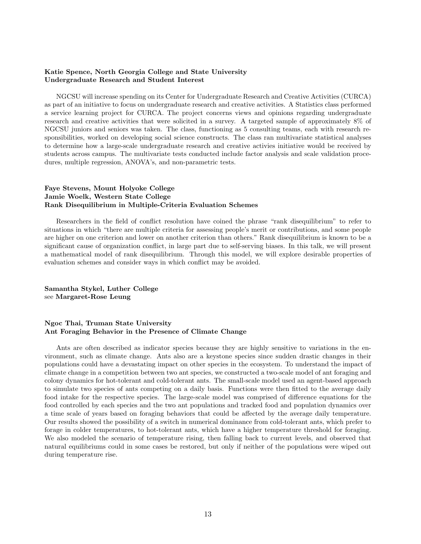#### Katie Spence, North Georgia College and State University Undergraduate Research and Student Interest

NGCSU will increase spending on its Center for Undergraduate Research and Creative Activities (CURCA) as part of an initiative to focus on undergraduate research and creative activities. A Statistics class performed a service learning project for CURCA. The project concerns views and opinions regarding undergraduate research and creative activities that were solicited in a survey. A targeted sample of approximately 8% of NGCSU juniors and seniors was taken. The class, functioning as 5 consulting teams, each with research responsibilities, worked on developing social science constructs. The class ran multivariate statistical analyses to determine how a large-scale undergraduate research and creative activies initiative would be received by students across campus. The multivariate tests conducted include factor analysis and scale validation procedures, multiple regression, ANOVA's, and non-parametric tests.

#### Faye Stevens, Mount Holyoke College Jamie Woelk, Western State College Rank Disequilibrium in Multiple-Criteria Evaluation Schemes

Researchers in the field of conflict resolution have coined the phrase "rank disequilibrium" to refer to situations in which "there are multiple criteria for assessing people's merit or contributions, and some people are higher on one criterion and lower on another criterion than others." Rank disequilibrium is known to be a significant cause of organization conflict, in large part due to self-serving biases. In this talk, we will present a mathematical model of rank disequilibrium. Through this model, we will explore desirable properties of evaluation schemes and consider ways in which conflict may be avoided.

Samantha Stykel, Luther College see Margaret-Rose Leung

#### Ngoc Thai, Truman State University Ant Foraging Behavior in the Presence of Climate Change

Ants are often described as indicator species because they are highly sensitive to variations in the environment, such as climate change. Ants also are a keystone species since sudden drastic changes in their populations could have a devastating impact on other species in the ecosystem. To understand the impact of climate change in a competition between two ant species, we constructed a two-scale model of ant foraging and colony dynamics for hot-tolerant and cold-tolerant ants. The small-scale model used an agent-based approach to simulate two species of ants competing on a daily basis. Functions were then fitted to the average daily food intake for the respective species. The large-scale model was comprised of difference equations for the food controlled by each species and the two ant populations and tracked food and population dynamics over a time scale of years based on foraging behaviors that could be affected by the average daily temperature. Our results showed the possibility of a switch in numerical dominance from cold-tolerant ants, which prefer to forage in colder temperatures, to hot-tolerant ants, which have a higher temperature threshold for foraging. We also modeled the scenario of temperature rising, then falling back to current levels, and observed that natural equilibriums could in some cases be restored, but only if neither of the populations were wiped out during temperature rise.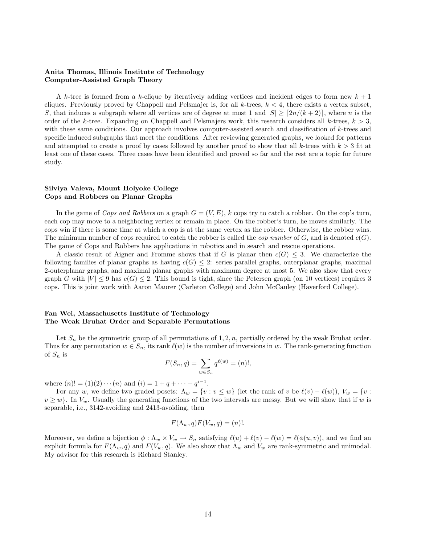#### Anita Thomas, Illinois Institute of Technology Computer-Assisted Graph Theory

A k-tree is formed from a k-clique by iteratively adding vertices and incident edges to form new  $k + 1$ cliques. Previously proved by Chappell and Pelsmajer is, for all k-trees,  $k < 4$ , there exists a vertex subset, S, that induces a subgraph where all vertices are of degree at most 1 and  $|S| \geq [2n/(k+2)]$ , where n is the order of the k-tree. Expanding on Chappell and Pelsmajers work, this research considers all k-trees,  $k > 3$ , with these same conditions. Our approach involves computer-assisted search and classification of k-trees and specific induced subgraphs that meet the conditions. After reviewing generated graphs, we looked for patterns and attempted to create a proof by cases followed by another proof to show that all k-trees with  $k > 3$  fit at least one of these cases. Three cases have been identified and proved so far and the rest are a topic for future study.

#### Silviya Valeva, Mount Holyoke College Cops and Robbers on Planar Graphs

In the game of Cops and Robbers on a graph  $G = (V, E)$ , k cops try to catch a robber. On the cop's turn, each cop may move to a neighboring vertex or remain in place. On the robber's turn, he moves similarly. The cops win if there is some time at which a cop is at the same vertex as the robber. Otherwise, the robber wins. The minimum number of cops required to catch the robber is called the *cop number* of  $G$ , and is denoted  $c(G)$ . The game of Cops and Robbers has applications in robotics and in search and rescue operations.

A classic result of Aigner and Fromme shows that if G is planar then  $c(G) \leq 3$ . We characterize the following families of planar graphs as having  $c(G) \leq 2$ : series parallel graphs, outerplanar graphs, maximal 2-outerplanar graphs, and maximal planar graphs with maximum degree at most 5. We also show that every graph G with  $|V| \le 9$  has  $c(G) \le 2$ . This bound is tight, since the Petersen graph (on 10 vertices) requires 3 cops. This is joint work with Aaron Maurer (Carleton College) and John McCauley (Haverford College).

#### Fan Wei, Massachusetts Institute of Technology The Weak Bruhat Order and Separable Permutations

Let  $S_n$  be the symmetric group of all permutations of 1, 2, n, partially ordered by the weak Bruhat order. Thus for any permutation  $w \in S_n$ , its rank  $\ell(w)$  is the number of inversions in w. The rank-generating function of  $S_n$  is

$$
F(S_n, q) = \sum_{w \in S_n} q^{\ell(w)} = (n)!,
$$

where  $(n)! = (1)(2) \cdots (n)$  and  $(i) = 1 + q + \cdots + q^{i-1}$ .

For any w, we define two graded posets:  $\Lambda_w = \{v : v \leq w\}$  (let the rank of v be  $\ell(v) - \ell(w)$ ),  $V_w = \{v : v \leq w\}$  $v \geq w$ . In  $V_w$ . Usually the generating functions of the two intervals are messy. But we will show that if w is separable, i.e., 3142-avoiding and 2413-avoiding, then

$$
F(\Lambda_w, q)F(V_w, q) = (n)!
$$

Moreover, we define a bijection  $\phi : \Lambda_w \times V_w \to S_n$  satisfying  $\ell(u) + \ell(v) - \ell(w) = \ell(\phi(u, v))$ , and we find an explicit formula for  $F(\Lambda_w, q)$  and  $F(V_w, q)$ . We also show that  $\Lambda_w$  and  $V_w$  are rank-symmetric and unimodal. My advisor for this research is Richard Stanley.